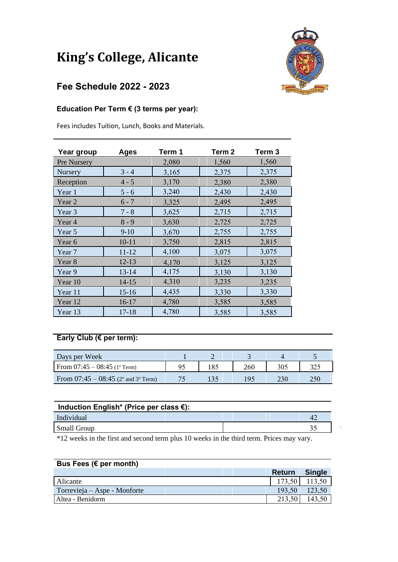# **King's College, Alicante**

## **Fee Schedule 2022 - 2023**

#### **Education Per Term € (3 terms per year):**

Fees includes Tuition, Lunch, Books and Materials.

| Year group        | <b>Ages</b> | Term 1 | Term <sub>2</sub> | Term <sub>3</sub> |
|-------------------|-------------|--------|-------------------|-------------------|
| Pre Nursery       |             | 2,080  | 1,560             | 1,560             |
| Nursery           | $3 - 4$     | 3,165  | 2,375             | 2,375             |
| Reception         | $4 - 5$     | 3,170  | 2,380             | 2,380             |
| Year 1            | $5 - 6$     | 3,240  | 2,430             | 2,430             |
| Year 2            | $6 - 7$     | 3,325  | 2,495             | 2,495             |
| Year 3            | $7 - 8$     | 3,625  | 2,715             | 2,715             |
| Year 4            | $8 - 9$     | 3,630  | 2,725             | 2,725             |
| Year 5            | $9-10$      | 3,670  | 2,755             | 2,755             |
| Year 6            | $10 - 11$   | 3,750  | 2,815             | 2,815             |
| Year 7            | $11 - 12$   | 4,100  | 3,075             | 3,075             |
| Year <sub>8</sub> | $12 - 13$   | 4,170  | 3,125             | 3,125             |
| Year 9            | $13 - 14$   | 4,175  | 3,130             | 3,130             |
| Year 10           | $14 - 15$   | 4,310  | 3,235             | 3,235             |
| Year 11           | $15 - 16$   | 4,435  | 3,330             | 3,330             |
| Year 12           | $16-17$     | 4,780  | 3,585             | 3,585             |
| Year 13           | $17 - 18$   | 4,780  | 3,585             | 3,585             |

### **Early Club (€ per term):**

| Days per Week                         |    |     |     |     |     |
|---------------------------------------|----|-----|-----|-----|-----|
| From $07:45 - 08:45$ (1° Term)        | 95 | 185 | 260 |     | 274 |
| From $07:45 - 08:45$ (2° and 3° Term) |    |     | Q4  | 230 | 250 |

| Induction English* (Price per class $\epsilon$ ): |  |  |  |  |  |
|---------------------------------------------------|--|--|--|--|--|
| Individual                                        |  |  |  |  |  |
| <b>Small Group</b>                                |  |  |  |  |  |

\*12 weeks in the first and second term plus 10 weeks in the third term. Prices may vary.

| Bus Fees ( $\epsilon$ per month) |               |               |  |  |  |
|----------------------------------|---------------|---------------|--|--|--|
|                                  | <b>Return</b> | <b>Single</b> |  |  |  |
| Alicante                         | 173,50        | 113,50        |  |  |  |
| Torrevieja – Aspe - Monforte     | 193,50        | 123.50        |  |  |  |
| Altea - Benidorm                 | 213,50        | 143.50        |  |  |  |